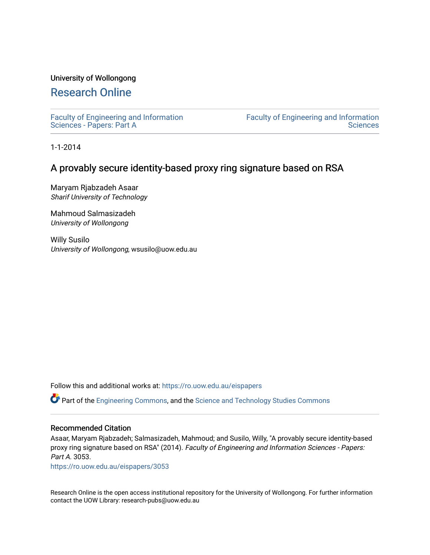## University of Wollongong

# [Research Online](https://ro.uow.edu.au/)

[Faculty of Engineering and Information](https://ro.uow.edu.au/eispapers)  [Sciences - Papers: Part A](https://ro.uow.edu.au/eispapers) 

[Faculty of Engineering and Information](https://ro.uow.edu.au/eis)  **Sciences** 

1-1-2014

# A provably secure identity-based proxy ring signature based on RSA

Maryam Rjabzadeh Asaar Sharif University of Technology

Mahmoud Salmasizadeh University of Wollongong

Willy Susilo University of Wollongong, wsusilo@uow.edu.au

Follow this and additional works at: [https://ro.uow.edu.au/eispapers](https://ro.uow.edu.au/eispapers?utm_source=ro.uow.edu.au%2Feispapers%2F3053&utm_medium=PDF&utm_campaign=PDFCoverPages)

Part of the [Engineering Commons](http://network.bepress.com/hgg/discipline/217?utm_source=ro.uow.edu.au%2Feispapers%2F3053&utm_medium=PDF&utm_campaign=PDFCoverPages), and the [Science and Technology Studies Commons](http://network.bepress.com/hgg/discipline/435?utm_source=ro.uow.edu.au%2Feispapers%2F3053&utm_medium=PDF&utm_campaign=PDFCoverPages)

### Recommended Citation

Asaar, Maryam Rjabzadeh; Salmasizadeh, Mahmoud; and Susilo, Willy, "A provably secure identity-based proxy ring signature based on RSA" (2014). Faculty of Engineering and Information Sciences - Papers: Part A. 3053.

[https://ro.uow.edu.au/eispapers/3053](https://ro.uow.edu.au/eispapers/3053?utm_source=ro.uow.edu.au%2Feispapers%2F3053&utm_medium=PDF&utm_campaign=PDFCoverPages) 

Research Online is the open access institutional repository for the University of Wollongong. For further information contact the UOW Library: research-pubs@uow.edu.au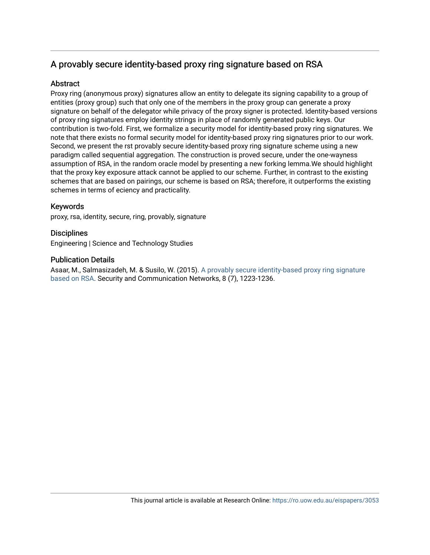# A provably secure identity-based proxy ring signature based on RSA

# **Abstract**

Proxy ring (anonymous proxy) signatures allow an entity to delegate its signing capability to a group of entities (proxy group) such that only one of the members in the proxy group can generate a proxy signature on behalf of the delegator while privacy of the proxy signer is protected. Identity-based versions of proxy ring signatures employ identity strings in place of randomly generated public keys. Our contribution is two-fold. First, we formalize a security model for identity-based proxy ring signatures. We note that there exists no formal security model for identity-based proxy ring signatures prior to our work. Second, we present the rst provably secure identity-based proxy ring signature scheme using a new paradigm called sequential aggregation. The construction is proved secure, under the one-wayness assumption of RSA, in the random oracle model by presenting a new forking lemma.We should highlight that the proxy key exposure attack cannot be applied to our scheme. Further, in contrast to the existing schemes that are based on pairings, our scheme is based on RSA; therefore, it outperforms the existing schemes in terms of eciency and practicality.

## Keywords

proxy, rsa, identity, secure, ring, provably, signature

**Disciplines** Engineering | Science and Technology Studies

# Publication Details

Asaar, M., Salmasizadeh, M. & Susilo, W. (2015). [A provably secure identity-based proxy ring signature](http://ro.uow.edu.au/eispapers/3053) [based on RSA.](http://ro.uow.edu.au/eispapers/3053) Security and Communication Networks, 8 (7), 1223-1236.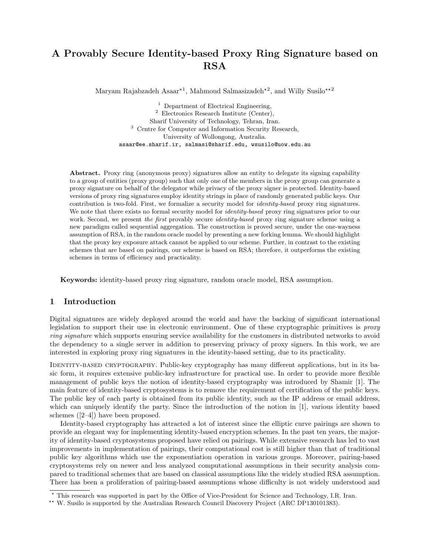# A Provably Secure Identity-based Proxy Ring Signature based on RSA

Maryam Rajabzadeh Asaar<sup>\*1</sup>, Mahmoud Salmasizadeh<sup>\*2</sup>, and Willy Susilo<sup>\*\*2</sup>

<sup>1</sup> Department of Electrical Engineering, <sup>2</sup> Electronics Research Institute (Center), Sharif University of Technology, Tehran, Iran. <sup>3</sup> Centre for Computer and Information Security Research, University of Wollongong, Australia. asaar@ee.sharif.ir, salmasi@sharif.edu, wsusilo@uow.edu.au

Abstract. Proxy ring (anonymous proxy) signatures allow an entity to delegate its signing capability to a group of entities (proxy group) such that only one of the members in the proxy group can generate a proxy signature on behalf of the delegator while privacy of the proxy signer is protected. Identity-based versions of proxy ring signatures employ identity strings in place of randomly generated public keys. Our contribution is two-fold. First, we formalize a security model for identity-based proxy ring signatures. We note that there exists no formal security model for *identity-based* proxy ring signatures prior to our work. Second, we present the first provably secure *identity-based* proxy ring signature scheme using a new paradigm called sequential aggregation. The construction is proved secure, under the one-wayness assumption of RSA, in the random oracle model by presenting a new forking lemma. We should highlight that the proxy key exposure attack cannot be applied to our scheme. Further, in contrast to the existing schemes that are based on pairings, our scheme is based on RSA; therefore, it outperforms the existing schemes in terms of efficiency and practicality.

Keywords: identity-based proxy ring signature, random oracle model, RSA assumption.

### 1 Introduction

Digital signatures are widely deployed around the world and have the backing of significant international legislation to support their use in electronic environment. One of these cryptographic primitives is *proxy* ring signature which supports ensuring service availability for the customers in distributed networks to avoid the dependency to a single server in addition to preserving privacy of proxy signers. In this work, we are interested in exploring proxy ring signatures in the identity-based setting, due to its practicality.

IDENTITY-BASED CRYPTOGRAPHY. Public-key cryptography has many different applications, but in its basic form, it requires extensive public-key infrastructure for practical use. In order to provide more flexible management of public keys the notion of identity-based cryptography was introduced by Shamir [1]. The main feature of identity-based cryptosystems is to remove the requirement of certification of the public keys. The public key of each party is obtained from its public identity, such as the IP address or email address, which can uniquely identify the party. Since the introduction of the notion in [1], various identity based schemes ([2–4]) have been proposed.

Identity-based cryptography has attracted a lot of interest since the elliptic curve pairings are shown to provide an elegant way for implementing identity-based encryption schemes. In the past ten years, the majority of identity-based cryptosystems proposed have relied on pairings. While extensive research has led to vast improvements in implementation of pairings, their computational cost is still higher than that of traditional public key algorithms which use the exponentiation operation in various groups. Moreover, pairing-based cryptosystems rely on newer and less analyzed computational assumptions in their security analysis compared to traditional schemes that are based on classical assumptions like the widely studied RSA assumption. There has been a proliferation of pairing-based assumptions whose difficulty is not widely understood and

<sup>?</sup> This research was supported in part by the Office of Vice-President for Science and Technology, I.R. Iran.

<sup>\*\*</sup> W. Susilo is supported by the Australian Research Council Discovery Project (ARC DP130101383).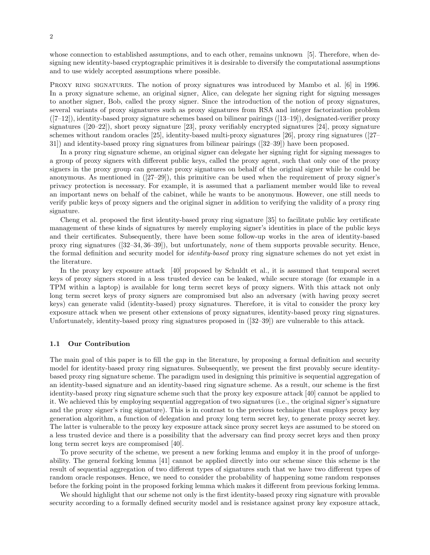whose connection to established assumptions, and to each other, remains unknown [5]. Therefore, when designing new identity-based cryptographic primitives it is desirable to diversify the computational assumptions and to use widely accepted assumptions where possible.

PROXY RING SIGNATURES. The notion of proxy signatures was introduced by Mambo et al. [6] in 1996. In a proxy signature scheme, an original signer, Alice, can delegate her signing right for signing messages to another signer, Bob, called the proxy signer. Since the introduction of the notion of proxy signatures, several variants of proxy signatures such as proxy signatures from RSA and integer factorization problem ([7–12]), identity-based proxy signature schemes based on bilinear pairings ([13–19]), designated-verifier proxy signatures ([20–22]), short proxy signature [23], proxy verifiably encrypted signatures [24], proxy signature schemes without random oracles [25], identity-based multi-proxy signatures [26], proxy ring signatures ([27– 31]) and identity-based proxy ring signatures from bilinear pairings ([32–39]) have been proposed.

In a proxy ring signature scheme, an original signer can delegate her signing right for signing messages to a group of proxy signers with different public keys, called the proxy agent, such that only one of the proxy signers in the proxy group can generate proxy signatures on behalf of the original signer while he could be anonymous. As mentioned in  $(27-29)$ , this primitive can be used when the requirement of proxy signer's privacy protection is necessary. For example, it is assumed that a parliament member would like to reveal an important news on behalf of the cabinet, while he wants to be anonymous. However, one still needs to verify public keys of proxy signers and the original signer in addition to verifying the validity of a proxy ring signature.

Cheng et al. proposed the first identity-based proxy ring signature [35] to facilitate public key certificate management of these kinds of signatures by merely employing signer's identities in place of the public keys and their certificates. Subsequently, there have been some follow-up works in the area of identity-based proxy ring signatures ([32–34, 36–39]), but unfortunately, none of them supports provable security. Hence, the formal definition and security model for identity-based proxy ring signature schemes do not yet exist in the literature.

In the proxy key exposure attack [40] proposed by Schuldt et al., it is assumed that temporal secret keys of proxy signers stored in a less trusted device can be leaked, while secure storage (for example in a TPM within a laptop) is available for long term secret keys of proxy signers. With this attack not only long term secret keys of proxy signers are compromised but also an adversary (with having proxy secret keys) can generate valid (identity-based) proxy signatures. Therefore, it is vital to consider the proxy key exposure attack when we present other extensions of proxy signatures, identity-based proxy ring signatures. Unfortunately, identity-based proxy ring signatures proposed in ([32–39]) are vulnerable to this attack.

#### 1.1 Our Contribution

The main goal of this paper is to fill the gap in the literature, by proposing a formal definition and security model for identity-based proxy ring signatures. Subsequently, we present the first provably secure identitybased proxy ring signature scheme. The paradigm used in designing this primitive is sequential aggregation of an identity-based signature and an identity-based ring signature scheme. As a result, our scheme is the first identity-based proxy ring signature scheme such that the proxy key exposure attack [40] cannot be applied to it. We achieved this by employing sequential aggregation of two signatures (i.e., the original signer's signature and the proxy signer's ring signature). This is in contrast to the previous technique that employs proxy key generation algorithm, a function of delegation and proxy long term secret key, to generate proxy secret key. The latter is vulnerable to the proxy key exposure attack since proxy secret keys are assumed to be stored on a less trusted device and there is a possibility that the adversary can find proxy secret keys and then proxy long term secret keys are compromised [40].

To prove security of the scheme, we present a new forking lemma and employ it in the proof of unforgeability. The general forking lemma [41] cannot be applied directly into our scheme since this scheme is the result of sequential aggregation of two different types of signatures such that we have two different types of random oracle responses. Hence, we need to consider the probability of happening some random responses before the forking point in the proposed forking lemma which makes it different from previous forking lemma.

We should highlight that our scheme not only is the first identity-based proxy ring signature with provable security according to a formally defined security model and is resistance against proxy key exposure attack,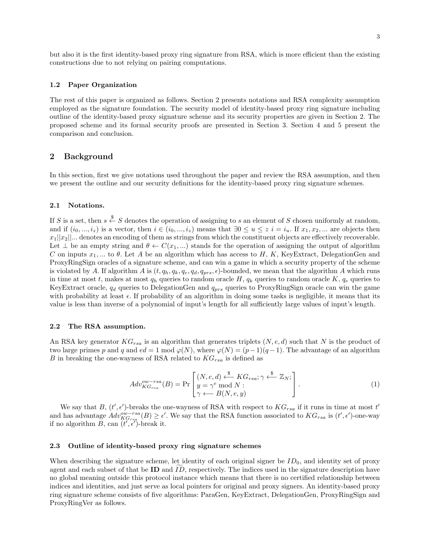but also it is the first identity-based proxy ring signature from RSA, which is more efficient than the existing constructions due to not relying on pairing computations.

#### 1.2 Paper Organization

The rest of this paper is organized as follows. Section 2 presents notations and RSA complexity assumption employed as the signature foundation. The security model of identity-based proxy ring signature including outline of the identity-based proxy signature scheme and its security properties are given in Section 2. The proposed scheme and its formal security proofs are presented in Section 3. Section 4 and 5 present the comparison and conclusion.

#### 2 Background

In this section, first we give notations used throughout the paper and review the RSA assumption, and then we present the outline and our security definitions for the identity-based proxy ring signature schemes.

#### 2.1 Notations.

If S is a set, then  $s \stackrel{\$}{\leftarrow} S$  denotes the operation of assigning to s an element of S chosen uniformly at random, and if  $(i_0, ..., i_z)$  is a vector, then  $i \in (i_0, ..., i_z)$  means that  $\exists 0 \leq u \leq z \ i = i_u$ . If  $x_1, x_2, ...$  are objects then  $x_1||x_2||...$  denotes an encoding of them as strings from which the constituent objects are effectively recoverable. Let  $\perp$  be an empty string and  $\theta \leftarrow C(x_1,...)$  stands for the operation of assigning the output of algorithm C on inputs  $x_1, \ldots$  to  $\theta$ . Let A be an algorithm which has access to H, K, KeyExtract, DelegationGen and ProxyRingSign oracles of a signature scheme, and can win a game in which a security property of the scheme is violated by A. If algorithm A is  $(t, q_h, q_k, q_e, q_d, q_{prs}, \epsilon)$ -bounded, we mean that the algorithm A which runs in time at most t, makes at most  $q_h$  queries to random oracle H,  $q_k$  queries to random oracle K,  $q_e$  queries to KeyExtract oracle,  $q_d$  queries to DelegationGen and  $q_{prs}$  queries to ProxyRingSign oracle can win the game with probability at least  $\epsilon$ . If probability of an algorithm in doing some tasks is negligible, it means that its value is less than inverse of a polynomial of input's length for all sufficiently large values of input's length.

#### 2.2 The RSA assumption.

An RSA key generator  $KG_{rsa}$  is an algorithm that generates triplets  $(N, e, d)$  such that N is the product of two large primes p and q and  $ed = 1 \mod \varphi(N)$ , where  $\varphi(N) = (p-1)(q-1)$ . The advantage of an algorithm B in breaking the one-wayness of RSA related to  $KG_{rsa}$  is defined as

$$
Adv_{KG_{rsa}}^{ow-rsa}(B) = \Pr\left[\begin{matrix} (N, e, d) \stackrel{\$}{\leftarrow} KG_{rsa}; \gamma \stackrel{\$}{\leftarrow} \mathbb{Z}_N; \\ y = \gamma^e \bmod N; \\ \gamma \longleftarrow B(N, e, y) \end{matrix}\right]. \tag{1}
$$

We say that B,  $(t', \epsilon')$ -breaks the one-wayness of RSA with respect to  $KG_{rsa}$  if it runs in time at most t' and has advantage  $Adv^{ow-rsa}_{KG_{rsg}}(B) \ge \epsilon'$ . We say that the RSA function associated to  $KG_{rsa}$  is  $(t', \epsilon')$ -one-way if no algorithm B, can  $(t', \epsilon'')$ -break it.

#### 2.3 Outline of identity-based proxy ring signature schemes

When describing the signature scheme, let identity of each original signer be  $ID_0$ , and identity set of proxy agent and each subset of that be  $ID$  and  $ID$ , respectively. The indices used in the signature description have no global meaning outside this protocol instance which means that there is no certified relationship between indices and identities, and just serve as local pointers for original and proxy signers. An identity-based proxy ring signature scheme consists of five algorithms: ParaGen, KeyExtract, DelegationGen, ProxyRingSign and ProxyRingVer as follows.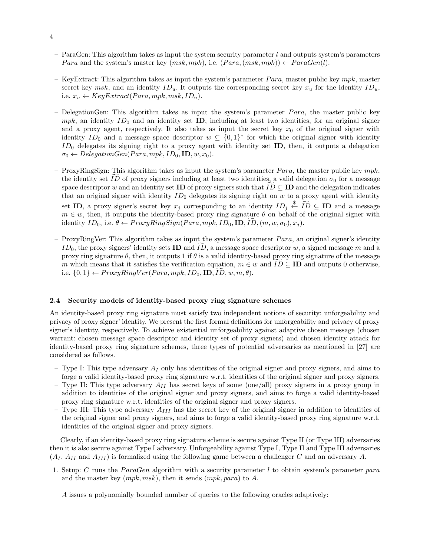- ParaGen: This algorithm takes as input the system security parameter  $l$  and outputs system's parameters *Para* and the system's master key  $(msk, mpk)$ , i.e.  $(Para, (msk, mpk)) \leftarrow ParaGen(l)$ .
- KeyExtract: This algorithm takes as input the system's parameter  $Para$ , master public key mpk, master secret key msk, and an identity  $ID_u$ . It outputs the corresponding secret key  $x_u$  for the identity  $ID_u$ , i.e.  $x_u \leftarrow KeyExtract(Para, mpk, msk, ID_u).$
- DelegationGen: This algorithm takes as input the system's parameter  $Para$ , the master public key mpk, an identity  $ID_0$  and an identity set **ID**, including at least two identities, for an original signer and a proxy agent, respectively. It also takes as input the secret key  $x_0$  of the original signer with identity  $ID_0$  and a message space descriptor  $w \subseteq \{0,1\}^*$  for which the original signer with identity  $ID_0$  delegates its signing right to a proxy agent with identity set **ID**, then, it outputs a delegation  $\sigma_0 \leftarrow DelegationGen(Para, mpk, ID_0, ID, w, x_0).$
- ProxyRingSign: This algorithm takes as input the system's parameter  $Para$ , the master public key mpk, the identity set ID of proxy signers including at least two identities, a valid delegation  $\sigma_0$  for a message space descriptor w and an identity set ID of proxy signers such that  $ID \subseteq ID$  and the delegation indicates that an original signer with identity  $ID_0$  delegates its signing right on w to a proxy agent with identity set **ID**, a proxy signer's secret key  $x_j$  corresponding to an identity  $ID_j \stackrel{\$}{\leftarrow} \widetilde{ID} \subseteq ID$  and a message  $m \in w$ , then, it outputs the identity-based proxy ring signature  $\theta$  on behalf of the original signer with identity  $ID_0$ , i.e.  $\theta \leftarrow ProxyRingSign(Para, mpk, ID_0, ID, ID, (m, w, \sigma_0), x_i)$ .
- ProxyRingVer: This algorithm takes as input the system's parameter  $Para$ , an original signer's identity  $ID_0$ , the proxy signers' identity sets **ID** and ID, a message space descriptor w, a signed message m and a proxy ring signature  $\theta$ , then, it outputs 1 if  $\theta$  is a valid identity-based proxy ring signature of the message m which means that it satisfies the verification equation,  $m \in w$  and  $ID \subseteq ID$  and outputs 0 otherwise, i.e.  $\{0,1\} \leftarrow ProxyRingVer(Para, mpk, ID_0, ID, ID, w, m, \theta).$

#### 2.4 Security models of identity-based proxy ring signature schemes

An identity-based proxy ring signature must satisfy two independent notions of security: unforgeability and privacy of proxy signer' identity. We present the first formal definitions for unforgeability and privacy of proxy signer's identity, respectively. To achieve existential unforgeability against adaptive chosen message (chosen warrant: chosen message space descriptor and identity set of proxy signers) and chosen identity attack for identity-based proxy ring signature schemes, three types of potential adversaries as mentioned in [27] are considered as follows.

- Type I: This type adversary  $A_I$  only has identities of the original signer and proxy signers, and aims to forge a valid identity-based proxy ring signature w.r.t. identities of the original signer and proxy signers.
- Type II: This type adversary  $A_{II}$  has secret keys of some (one/all) proxy signers in a proxy group in addition to identities of the original signer and proxy signers, and aims to forge a valid identity-based proxy ring signature w.r.t. identities of the original signer and proxy signers.
- Type III: This type adversary  $A_{III}$  has the secret key of the original signer in addition to identities of the original signer and proxy signers, and aims to forge a valid identity-based proxy ring signature w.r.t. identities of the original signer and proxy signers.

Clearly, if an identity-based proxy ring signature scheme is secure against Type II (or Type III) adversaries then it is also secure against Type I adversary. Unforgeability against Type I, Type II and Type III adversaries  $(A_I, A_{II} \text{ and } A_{III})$  is formalized using the following game between a challenger C and an adversary A.

1. Setup: C runs the ParaGen algorithm with a security parameter l to obtain system's parameter para and the master key  $(mpk, msk)$ , then it sends  $(mpk, para)$  to A.

A issues a polynomially bounded number of queries to the following oracles adaptively: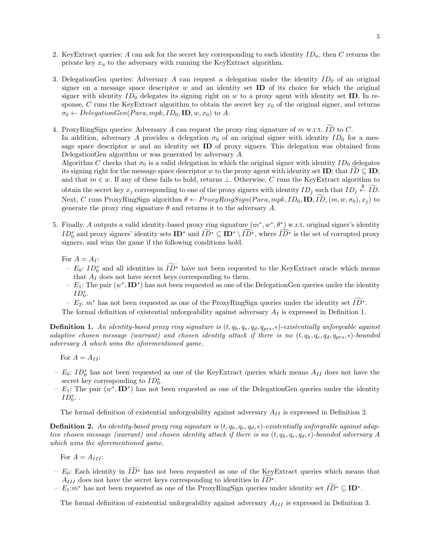- 2. KeyExtract queries: A can ask for the secret key corresponding to each identity  $ID_u$ , then C returns the private key  $x_u$  to the adversary with running the KeyExtract algorithm.
- 3. DelegationGen queries: Adversary A can request a delegation under the identity  $ID_0$  of an original signer on a message space descriptor  $w$  and an identity set **ID** of its choice for which the original signer with identity  $ID_0$  delegates its signing right on w to a proxy agent with identity set **ID**. In response, C runs the KeyExtract algorithm to obtain the secret key  $x_0$  of the original signer, and returns  $\sigma_0 \leftarrow DelegationGen(Para, mpk, ID_0, ID, w, x_0)$  to A.
- 4. ProxyRingSign queries: Adversary A can request the proxy ring signature of m w.r.t.  $\widetilde{ID}$  to C. In addition, adversary A provides a delegation  $\sigma_0$  of an original signer with identity ID<sub>0</sub> for a message space descriptor  $w$  and an identity set **ID** of proxy signers. This delegation was obtained from DelegationGen algorithm or was generated by adversary A.

Algorithm C checks that  $\sigma_0$  is a valid delegation in which the original signer with identity  $ID_0$  delegates its signing right for the message space descriptor w to the proxy agent with identity set ID; that  $ID \subseteq ID$ ; and that  $m \in w$ . If any of these fails to hold, returns  $\perp$ . Otherwise, C runs the KeyExtract algorithm to obtain the secret key  $x_j$  corresponding to one of the proxy signers with identity  $ID_j$  such that  $ID_j \overset{\$}{\leftarrow} \widetilde{ID}$ . Next, C runs ProxyRingSign algorithm  $\theta \leftarrow ProxyRingSign(Para, mpk, ID_0, ID, ID, (m, w, \sigma_0), x_i)$  to generate the proxy ring signature  $\theta$  and returns it to the adversary A.

5. Finally, A outputs a valid identity-based proxy ring signature  $(m^*, w^*, \theta^*)$  w.r.t. original signer's identity  $ID_0^*$  and proxy signers' identity sets  $ID^*$  and  $ID^* \subseteq ID^* \setminus \widehat{ID^*}$ , where  $\widehat{ID^*}$  is the set of corrupted proxy signers, and wins the game if the following conditions hold.

For  $A = A_I$ :

- $-E_0: ID^*$  and all identities in  $ID^*$  have not been requested to the KeyExtract oracle which means that  $A_I$  does not have secret keys corresponding to them.
- $E_1$ : The pair  $(w^*, \mathbf{ID}^*)$  has not been requested as one of the DelegationGen queries under the identity  $ID_0^*$ .
- $E_2$ :  $m^*$  has not been requested as one of the ProxyRingSign queries under the identity set  $\widetilde{ID^*}$ .

The formal definition of existential unforgeability against adversary  $A_I$  is expressed in Definition 1.

**Definition 1.** An identity-based proxy ring signature is  $(t, q_h, q_e, q_d, q_{prs}, \epsilon)$ -existentially unforgeable against adaptive chosen message (warrant) and chosen identity attack if there is no  $(t, q_h, q_e, q_d, q_{prs}, \epsilon)$ -bounded adversary A which wins the aforementioned game.

- For  $A = A_{II}$ :
- $− E_0$ :  $ID_0^*$  has not been requested as one of the KeyExtract queries which means  $A_{II}$  does not have the secret key corresponding to  $ID_0^*$ .
- $E_1$ : The pair  $(w^*, \mathbf{ID}^*)$  has not been requested as one of the DelegationGen queries under the identity  $ID_0^*$ ..

The formal definition of existential unforgeability against adversary  $A_{II}$  is expressed in Definition 2.

**Definition 2.** An identity-based proxy ring signature is  $(t, q_h, q_e, q_d, \epsilon)$ -existentially unforgeable against adaptive chosen message (warrant) and chosen identity attack if there is no  $(t, q_h, q_e, q_d, \epsilon)$ -bounded adversary A which wins the aforementioned game.

For  $A = A_{III}$ :

- $E_0$ : Each identity in  $\widetilde{ID}^*$  has not been requested as one of the KeyExtract queries which means that  $A_{III}$  does not have the secret keys corresponding to identities in  $\widetilde{ID^*}$ .
- $E_1: m^*$  has not been requested as one of the ProxyRingSign queries under identity set  $ID^* \subseteq ID^*$ .

The formal definition of existential unforgeability against adversary  $A_{III}$  is expressed in Definition 3.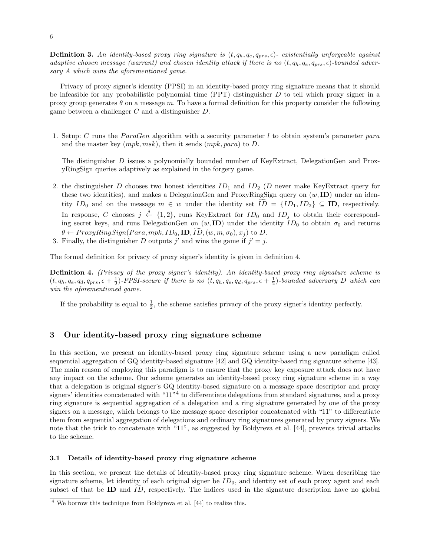**Definition 3.** An identity-based proxy ring signature is  $(t, q_h, q_e, q_{prs}, \epsilon)$ - existentially unforgeable against adaptive chosen message (warrant) and chosen identity attack if there is no  $(t, q_h, q_e, q_{prs}, \epsilon)$ -bounded adversary A which wins the aforementioned game.

Privacy of proxy signer's identity (PPSI) in an identity-based proxy ring signature means that it should be infeasible for any probabilistic polynomial time  $(PT)$  distinguisher D to tell which proxy signer in a proxy group generates  $\theta$  on a message m. To have a formal definition for this property consider the following game between a challenger C and a distinguisher D.

1. Setup: C runs the ParaGen algorithm with a security parameter l to obtain system's parameter para and the master key  $(mpk, msk)$ , then it sends  $(mpk, para)$  to D.

The distinguisher D issues a polynomially bounded number of KeyExtract, DelegationGen and ProxyRingSign queries adaptively as explained in the forgery game.

- 2. the distinguisher D chooses two honest identities  $ID_1$  and  $ID_2$  (D never make KeyExtract query for these two identities), and makes a DelegationGen and ProxyRingSign query on  $(w, ID)$  under an identity  $ID_0$  and on the message  $m \in w$  under the identity set  $\widetilde{ID} = \{ID_1, ID_2\} \subseteq \mathbf{ID}$ , respectively. In response, C chooses  $j \stackrel{\$}{\leftarrow} \{1,2\}$ , runs KeyExtract for  $ID_0$  and  $ID_j$  to obtain their corresponding secret keys, and runs DelegationGen on  $(w, \text{ID})$  under the identity  $ID_0$  to obtain  $\sigma_0$  and returns  $\theta \leftarrow ProxyRingSign(Para, mpk, ID_0, ID, ID, (w, m, \sigma_0), x_i)$  to D.
- 3. Finally, the distinguisher D outputs j' and wins the game if  $j' = j$ .

The formal definition for privacy of proxy signer's identity is given in definition 4.

Definition 4. (Privacy of the proxy signer's identity). An identity-based proxy ring signature scheme is  $(t, q_h, q_e, q_d, q_{prs}, \epsilon + \frac{1}{2})$ -PPSI-secure if there is no  $(t, q_h, q_e, q_d, q_{prs}, \epsilon + \frac{1}{2})$ -bounded adversary D which can win the aforementioned game.

If the probability is equal to  $\frac{1}{2}$ , the scheme satisfies privacy of the proxy signer's identity perfectly.

### 3 Our identity-based proxy ring signature scheme

In this section, we present an identity-based proxy ring signature scheme using a new paradigm called sequential aggregation of GQ identity-based signature [42] and GQ identity-based ring signature scheme [43]. The main reason of employing this paradigm is to ensure that the proxy key exposure attack does not have any impact on the scheme. Our scheme generates an identity-based proxy ring signature scheme in a way that a delegation is original signer's GQ identity-based signature on a message space descriptor and proxy signers' identities concatenated with "11"<sup>4</sup> to differentiate delegations from standard signatures, and a proxy ring signature is sequential aggregation of a delegation and a ring signature generated by one of the proxy signers on a message, which belongs to the message space descriptor concatenated with "11" to differentiate them from sequential aggregation of delegations and ordinary ring signatures generated by proxy signers. We note that the trick to concatenate with "11", as suggested by Boldyreva et al. [44], prevents trivial attacks to the scheme.

#### 3.1 Details of identity-based proxy ring signature scheme

In this section, we present the details of identity-based proxy ring signature scheme. When describing the signature scheme, let identity of each original signer be  $ID_0$ , and identity set of each proxy agent and each subset of that be ID and  $ID$ , respectively. The indices used in the signature description have no global

 $\frac{4}{4}$  We borrow this technique from Boldyreva et al. [44] to realize this.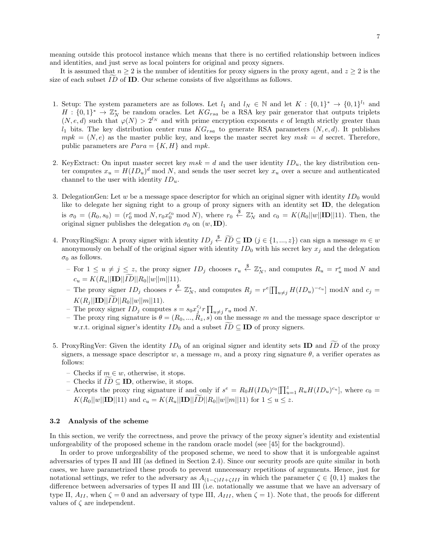meaning outside this protocol instance which means that there is no certified relationship between indices and identities, and just serve as local pointers for original and proxy signers.

It is assumed that  $n \geq 2$  is the number of identities for proxy signers in the proxy agent, and  $z \geq 2$  is the size of each subset  $ID$  of **ID**. Our scheme consists of five algorithms as follows.

- 1. Setup: The system parameters are as follows. Let  $l_1$  and  $l_N \in \mathbb{N}$  and let  $K : \{0,1\}^* \to \{0,1\}^{l_1}$  and  $H: \{0,1\}^* \to \mathbb{Z}_N^*$  be random oracles. Let  $KG_{rsa}$  be a RSA key pair generator that outputs triplets  $(N, e, d)$  such that  $\varphi(N) > 2^{l_N}$  and with prime encryption exponents e of length strictly greater than  $l_1$  bits. The key distribution center runs  $KG_{rsa}$  to generate RSA parameters  $(N, e, d)$ . It publishes  $mpk = (N, e)$  as the master public key, and keeps the master secret key  $msk = d$  secret. Therefore, public parameters are  $Para = \{K, H\}$  and  $mpk$ .
- 2. KeyExtract: On input master secret key  $msk = d$  and the user identity  $ID_u$ , the key distribution center computes  $x_u = H(ID_u)^d \mod N$ , and sends the user secret key  $x_u$  over a secure and authenticated channel to the user with identity  $ID_u$ .
- 3. DelegationGen: Let  $w$  be a message space descriptor for which an original signer with identity  $ID_0$  would like to delegate her signing right to a group of proxy signers with an identity set ID, the delegation is  $\sigma_0 = (R_0, s_0) = (r_0^e \bmod N, r_0 x_0^{c_0} \bmod N)$ , where  $r_0 \stackrel{\$}{\leftarrow} \mathbb{Z}_N^*$  and  $c_0 = K(R_0||w||\mathbf{ID}||11)$ . Then, the original signer publishes the delegation  $\sigma_0$  on  $(w, \text{ID})$ .
- 4. ProxyRingSign: A proxy signer with identity  $ID_j \stackrel{\$}{\leftarrow} \widetilde{ID} \subseteq ID$   $(j \in \{1, ..., z\})$  can sign a message  $m \in w$ anonymously on behalf of the original signer with identity  $ID_0$  with his secret key  $x_j$  and the delegation  $\sigma_0$  as follows.
	- $-$  For  $1 \le u \ne j \le z$ , the proxy signer  $ID_j$  chooses  $r_u \stackrel{\$}{\leftarrow} \mathbb{Z}_N^*$ , and computes  $R_u = r_u^e \mod N$  and  $c_u = K(R_u||\mathbf{ID}||\widetilde{ID}||R_0||w||m||11).$
	- The proxy signer  $ID_j$  chooses  $r \stackrel{\$}{\leftarrow} \mathbb{Z}_N^*$ , and computes  $R_j = r^e[\prod_{u \neq j} H(ID_u)^{-c_u}]$  modN and  $c_j =$  $K(R_i||\textbf{ID}||ID||R_0||w||m||11).$
	- The proxy signer  $ID_j$  computes  $s = s_0 x_j^{c_j} r \prod_{u \neq j} r_u \mod N$ .
	- The proxy ring signature is  $\theta = (R_0, ..., R_z, s)$  on the message m and the message space descriptor w w.r.t. original signer's identity  $ID_0$  and a subset  $ID \subseteq ID$  of proxy signers.
- 5. ProxyRingVer: Given the identity  $ID_0$  of an original signer and identity sets **ID** and  $\widetilde{ID}$  of the proxy signers, a message space descriptor w, a message m, and a proxy ring signature  $\theta$ , a verifier operates as follows:
	- Checks if  $m \in w$ , otherwise, it stops.
	- Checks if  $ID ⊆ ID$ , otherwise, it stops.
	- Accepts the proxy ring signature if and only if  $s^e = R_0 H(ID_0)^{c_0} \prod_{u=1}^z R_u H(ID_u)^{c_u}$ , where  $c_0 =$  $K(R_0||w||\textbf{ID}||11)$  and  $c_u = K(R_u||\textbf{ID}||ID||R_0||w||m||11)$  for  $1 \le u \le z$ .

#### 3.2 Analysis of the scheme

In this section, we verify the correctness, and prove the privacy of the proxy signer's identity and existential unforgeability of the proposed scheme in the random oracle model (see [45] for the background).

In order to prove unforgeability of the proposed scheme, we need to show that it is unforgeable against adversaries of types II and III (as defined in Section 2.4). Since our security proofs are quite similar in both cases, we have parametrized these proofs to prevent unnecessary repetitions of arguments. Hence, just for notational settings, we refer to the adversary as  $A_{(1-\zeta)I+\zeta II}$  in which the parameter  $\zeta \in \{0,1\}$  makes the difference between adversaries of types II and III (i.e. notationally we assume that we have an adversary of type II,  $A_{II}$ , when  $\zeta = 0$  and an adversary of type III,  $A_{III}$ , when  $\zeta = 1$ ). Note that, the proofs for different values of  $\zeta$  are independent.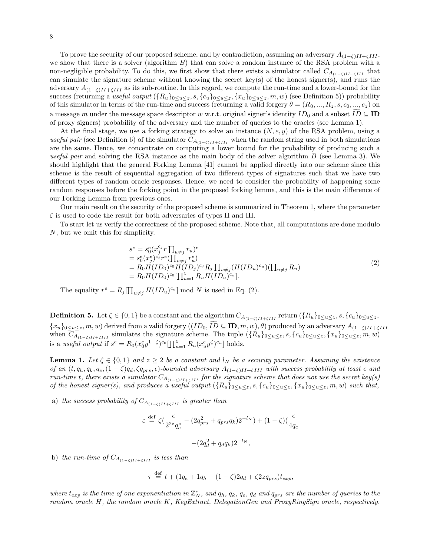To prove the security of our proposed scheme, and by contradiction, assuming an adversary  $A_{(1-\zeta)II+\zeta III}$ , we show that there is a solver (algorithm  $B$ ) that can solve a random instance of the RSA problem with a non-negligible probability. To do this, we first show that there exists a simulator called  $C_{A_{(1-\zeta)II+\zeta III}}$  that can simulate the signature scheme without knowing the secret key(s) of the honest signer(s), and runs the adversary  $A_{(1-\zeta)I\to I\{II\}}$  as its sub-routine. In this regard, we compute the run-time and a lower-bound for the success (returning a useful output  $({R_u}_{0 \le u \le z}, {s, {c_u}_{0 \le u \le z}, {x_u}_{0 \le u \le z}, m, w)$  (see Definition 5)) probability of this simulator in terms of the run-time and success (returning a valid forgery  $\theta = (R_0, ..., R_z, s, c_0, ..., c_z)$ ) on a message m under the message space descriptor w w.r.t. original signer's identity  $ID_0$  and a subset  $ID \subseteq ID$ of proxy signers) probability of the adversary and the number of queries to the oracles (see Lemma 1).

At the final stage, we use a forking strategy to solve an instance  $(N, e, y)$  of the RSA problem, using a useful pair (see Definition 6) of the simulator  $C_{A_{(1-\zeta)II}+\zeta III}$  when the random string used in both simulations are the same. Hence, we concentrate on computing a lower bound for the probability of producing such a useful pair and solving the RSA instance as the main body of the solver algorithm  $B$  (see Lemma 3). We should highlight that the general Forking Lemma [41] cannot be applied directly into our scheme since this scheme is the result of sequential aggregation of two different types of signatures such that we have two different types of random oracle responses. Hence, we need to consider the probability of happening some random responses before the forking point in the proposed forking lemma, and this is the main difference of our Forking Lemma from previous ones.

Our main result on the security of the proposed scheme is summarized in Theorem 1, where the parameter  $\zeta$  is used to code the result for both adversaries of types II and III.

To start let us verify the correctness of the proposed scheme. Note that, all computations are done modulo N, but we omit this for simplicity.

$$
s^{e} = s_{0}^{e}(x_{j}^{c_{j}}r \prod_{u \neq j} r_{u})^{e}
$$
  
=  $s_{0}^{e}(x_{j}^{e})^{c_{j}}r^{e}(\prod_{u \neq j} r_{u}^{e})$   
=  $R_{0}H(ID_{0})^{c_{0}}H(ID_{j})^{c_{j}}R_{j} \prod_{u \neq j}(H(ID_{u})^{c_{u}})(\prod_{u \neq j} R_{u})$   
=  $R_{0}H(ID_{0})^{c_{0}}[\prod_{u=1}^{z} R_{u}H(ID_{u})^{c_{u}}].$  (2)

The equality  $r^e = R_j \prod_{u \neq j} H(ID_u)^{c_u}] \text{ mod } N$  is used in Eq. (2).

**Definition 5.** Let  $\zeta \in \{0,1\}$  be a constant and the algorithm  $C_{A_{(1-\zeta)II+\zeta III}}$  return  $(\{R_u\}_{0\leq u\leq z}, s, \{c_u\}_{0\leq u\leq z},$  ${x_u}_{0 \le u \le z}$ , m, w) derived from a valid forgery  $((ID_0, ID \subseteq ID, m, w), \theta)$  produced by an adversary  $A_{(1-\zeta)II+\zeta III}$ when  $C_{A_{(1-\zeta)I\setminus\{I\}\setminus\{II\}}}$  simulates the signature scheme. The tuple  $(\{R_u\}_{0\leq u\leq z}, s, \{c_u\}_{0\leq u\leq z}, \{x_u\}_{0\leq u\leq z}, m, w)$ is a useful output if  $s^e = R_0(x_0^e y^{1-\zeta})^{c_0} \prod_{u=1}^z R_u(x_u^e y^{\zeta})^{c_u}$  holds.

**Lemma 1.** Let  $\zeta \in \{0,1\}$  and  $z \geq 2$  be a constant and  $l_N$  be a security parameter. Assuming the existence of an  $(t, q_h, q_k, q_e, (1 - \zeta)q_d, \zeta q_{prs}, \epsilon)$ -bounded adversary  $A_{(1-\zeta)II+\zeta III}$  with success probability at least  $\epsilon$  and run-time t, there exists a simulator  $C_{A_{(1-\zeta)II+\zeta III}}$  for the signature scheme that does not use the secret key(s) of the honest signer(s), and produces a useful output  $({R_u}_{0 \le u \le z}, {s, {c_u}_{0 \le u \le z}, {x_u}_{0 \le u \le z}, m, w)$  such that,

a) the success probability of  $C_{A_{(1-\zeta)I\uparrow}+\zeta_{III}}$  is greater than

$$
\varepsilon \stackrel{\text{def}}{=} \zeta \left( \frac{\epsilon}{2^{2z} q_e^z} - (2q_{prs}^2 + q_{prs} q_k) 2^{-l_N} \right) + (1 - \zeta) \left( \frac{\epsilon}{4q_e} \right)
$$

$$
- (2q_d^2 + q_d q_k) 2^{-l_N},
$$

b) the run-time of  $C_{A_{(1-\epsilon)II}+\epsilon III}$  is less than

$$
\tau \stackrel{\text{def}}{=} t + (1q_e + 1q_h + (1 - \zeta)2q_d + \zeta 2zq_{prs})t_{exp},
$$

where  $t_{exp}$  is the time of one exponentiation in  $\mathbb{Z}_N^*$ , and  $q_h$ ,  $q_k$ ,  $q_e$ ,  $q_d$  and  $q_{prs}$  are the number of queries to the random oracle H, the random oracle K, KeyExtract, DelegationGen and ProxyRingSign oracle, respectively.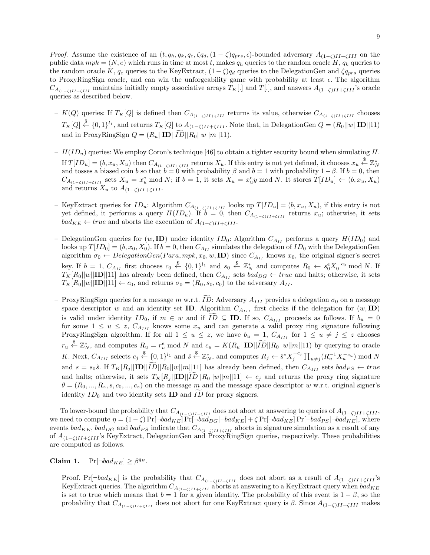*Proof.* Assume the existence of an  $(t, q_h, q_e, \zeta q_d, (1 - \zeta) q_{prs}, \epsilon)$ -bounded adversary  $A_{(1-\zeta)II+\zeta III}$  on the public data  $mpk = (N, e)$  which runs in time at most t, makes  $q_h$  queries to the random oracle H,  $q_k$  queries to the random oracle K,  $q_e$  queries to the KeyExtract,  $(1 - \zeta)q_d$  queries to the DelegationGen and  $\zeta q_{prs}$  queries to ProxyRingSign oracle, and can win the unforgeability game with probability at least  $\epsilon$ . The algorithm  $C_{A_{(1-\zeta)II+\zeta III}}$  maintains initially empty associative arrays  $T_K$ [.] and  $T$ [.], and answers  $A_{(1-\zeta)II+\zeta III}$ 's oracle queries as described below.

- K(Q) queries: If  $T_K[Q]$  is defined then  $C_{A_{(1-\zeta)II+\zeta III}}$  returns its value, otherwise  $C_{A_{(1-\zeta)II+\zeta III}}$  chooses  $T_K[Q] \stackrel{\$}{\leftarrow} \{0,1\}^{l_1}$ , and returns  $T_K[Q]$  to  $A_{(1-\zeta)II+\zeta III}$ . Note that, in DelegationGen  $Q = (R_0||w||\mathbf{ID}||11)$ and in ProxyRingSign  $Q = (R_u||\mathbf{ID}||\tilde{ID}||R_0||w||m||11)$ .
- $H(ID_u)$  queries: We employ Coron's technique [46] to obtain a tighter security bound when simulating H. If  $T[ID_u] = (b, x_u, X_u)$  then  $C_{A_{(1-\zeta)II+\zeta III}}$  returns  $X_u$ . If this entry is not yet defined, it chooses  $x_u \stackrel{\$}{\leftarrow} \mathbb{Z}_N^*$ and tosses a biased coin b so that  $b = 0$  with probability  $\beta$  and  $b = 1$  with probability  $1 - \beta$ . If  $b = 0$ , then  $C_{A_{(1-\zeta)II+\zeta III}}$  sets  $X_u = x_u^e \bmod N$ ; if  $b = 1$ , it sets  $X_u = x_u^e y \bmod N$ . It stores  $T[ID_u] \leftarrow (b, x_u, X_u)$ and returns  $X_u$  to  $A_{(1-\zeta)II+\zeta III}$ .
- KeyExtract queries for ID<sub>u</sub>: Algorithm C<sub>A(1−ζ)II+ζIII</sub> looks up T[ID<sub>u</sub>] = (b, x<sub>u</sub>, X<sub>u</sub>), if this entry is not yet defined, it performs a query  $H(ID_u)$ . If  $b = 0$ , then  $C_{A_{(1-\zeta)II+\zeta III}}$  returns  $x_u$ ; otherwise, it sets  $bad_{KE} \leftarrow true$  and aborts the execution of  $A_{(1-\zeta)II+\zeta III}$ .
- DelegationGen queries for  $(w, \text{ID})$  under identity  $ID_0$ : Algorithm  $C_{A_{II}}$  performs a query  $H(ID_0)$  and looks up  $T[ID_0] = (b, x_0, X_0)$ . If  $b = 0$ , then  $C_{A_{II}}$  simulates the delegation of  $ID_0$  with the DelegationGen algorithm  $\sigma_0 \leftarrow DelegationGen(Para, mpk, x_0, w, \mathbf{ID})$  since  $C_{A_{II}}$  knows  $x_0$ , the original signer's secret key. If  $b = 1$ ,  $C_{A_{II}}$  first chooses  $c_0 \stackrel{\$}{\leftarrow} \{0,1\}^{l_1}$  and  $s_0 \stackrel{\$}{\leftarrow} \mathbb{Z}_N^*$  and computes  $R_0 \leftarrow s_0^e X_0^{-c_0}$  mod N. If  $T_K[R_0||w||\text{ID}||11]$  has already been defined, then  $C_{A_{II}}$  sets  $bad_{DG} \leftarrow true$  and halts; otherwise, it sets  $T_K[R_0||w||\mathbf{ID}||11] \leftarrow c_0$ , and returns  $\sigma_0 = (R_0, s_0, c_0)$  to the adversary  $A_{II}$ .
- ProxyRingSign queries for a message m w.r.t.  $\overline{ID}$ : Adversary  $A_{III}$  provides a delegation  $\sigma_0$  on a message space descriptor w and an identity set **ID**. Algorithm  $C_{A_{III}}$  first checks if the delegation for  $(w, \text{ID})$ is valid under identity  $ID_0$ , if  $m \in w$  and if  $ID \subseteq ID$ . If so,  $C_{A_{III}}$  proceeds as follows. If  $b_u = 0$ for some  $1 \leq u \leq z$ ,  $C_{A_{III}}$  knows some  $x_u$  and can generate a valid proxy ring signature following ProxyRingSign algorithm. If for all  $1 \le u \le z$ , we have  $b_u = 1$ ,  $C_{A_{III}}$  for  $1 \le u \ne j \le z$  chooses  $r_u \stackrel{\$}{\leftarrow} \mathbb{Z}_N^*$ , and computes  $R_u = r_u^e \mod N$  and  $c_u = K(R_u||\mathbf{ID}||\widetilde{ID}||R_0||w||m||11)$  by querying to oracle K. Next,  $C_{A_{III}}$  selects  $c_j \stackrel{\$}{\leftarrow} \{0,1\}^{l_1}$  and  $\hat{s} \stackrel{\$}{\leftarrow} \mathbb{Z}_N^*$ , and computes  $R_j \leftarrow \hat{s}^e X_j^{-c_j} \prod_{u \neq j} (R_u^{-1} X_u^{-c_u}) \mod N$ and  $s = s_0\hat{s}$ . If  $T_K[R_j||\mathbf{ID}||ID||R_0||w||m||11]$  has already been defined, then  $C_{A_{III}}$  sets  $bad_{PS} \leftarrow true$ and halts; otherwise, it sets  $T_K[R_j||\mathbf{D}||R_0||w||n||11] \leftarrow c_j$  and returns the proxy ring signature  $\theta = (R_0, ..., R_z, s, c_0, ..., c_z)$  on the message m and the message space descriptor w w.r.t. original signer's identity  $ID_0$  and two identity sets **ID** and  $ID$  for proxy signers.

To lower-bound the probability that  $C_{A_{(1-\zeta)II}+\zeta III}$  does not abort at answering to queries of  $A_{(1-\zeta)II}+\zeta III$ , we need to compute  $\eta = (1 - \zeta) \Pr[\neg bad_{KE}] \Pr[\neg bad_{KE}] + \zeta \Pr[\neg bad_{KE}] \Pr[\neg bad_{FS}] \neg bad_{KE}]$ , where events  $bad_{KE}$ ,  $bad_{DG}$  and  $bad_{PS}$  indicate that  $C_{A_{(1-\zeta)II+\zeta III}}$  aborts in signature simulation as a result of any of  $A_{(1-\zeta)I1+\zeta III}$ 's KeyExtract, DelegationGen and ProxyRingSign queries, respectively. These probabilities are computed as follows.

Claim 1.  $\Pr[\neg bad_{KE}] \geq \beta^{q_E}$ .

Proof. Pr[¬bad<sub>KE</sub>] is the probability that  $C_{A_{(1-\zeta)II+\zeta III}}$  does not abort as a result of  $A_{(1-\zeta)II+\zeta III}$ 's KeyExtract queries. The algorithm  $C_{A_{(1-\zeta)I}+\zeta III}$  aborts at answering to a KeyExtract query when  $bad_{KE}$ is set to true which means that  $b = 1$  for a given identity. The probability of this event is  $1 - \beta$ , so the probability that  $C_{A_{(1-\zeta)II+\zeta III}}$  does not abort for one KeyExtract query is  $\beta$ . Since  $A_{(1-\zeta)II+\zeta III}$  makes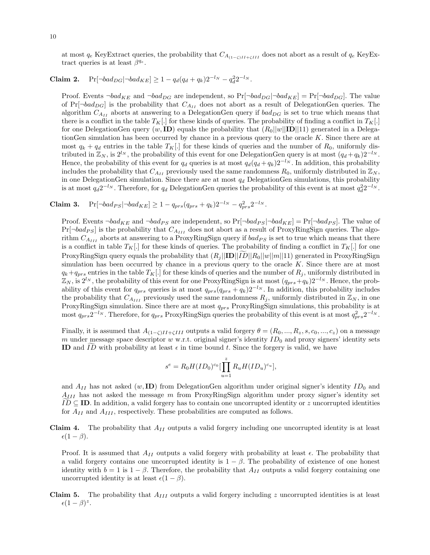at most  $q_e$  KeyExtract queries, the probability that  $C_{A_{(1-\zeta)II}+\zeta III}$  does not abort as a result of  $q_e$  KeyExtract queries is at least  $\beta^{q_e}$ .

# Claim 2.  $Pr[\neg bad_{DG} | \neg bad_{KE}] \ge 1 - q_d(q_d + q_k)2^{-l_N} - q_d^2 2^{-l_N}.$

Proof. Events  $\neg bad_{KE}$  and  $\neg bad_{DG}$  are independent, so  $Pr[\neg bad_{DG}|\neg bad_{KE}] = Pr[\neg bad_{DG}]$ . The value of  $Pr[\neg bad_{DG}]$  is the probability that  $C_{A_{II}}$  does not abort as a result of DelegationGen queries. The algorithm  $C_{A_{II}}$  aborts at answering to a DelegationGen query if  $bad_{DG}$  is set to true which means that there is a conflict in the table  $T_K$ . for these kinds of queries. The probability of finding a conflict in  $T_K$ . for one DelegationGen query  $(w, \text{ID})$  equals the probability that  $(R_0||w||\text{ID}||11)$  generated in a DelegationGen simulation has been occurred by chance in a previous query to the oracle  $K$ . Since there are at most  $q_k + q_d$  entries in the table  $T_K$ . for these kinds of queries and the number of  $R_0$ , uniformly distributed in  $\mathbb{Z}_N$ , is  $2^{l_N}$ , the probability of this event for one DelegationGen query is at most  $(q_d + q_k)2^{-l_N}$ . Hence, the probability of this event for  $q_d$  queries is at most  $q_d(q_d + q_k)2^{-l_N}$ . In addition, this probability includes the probability that  $C_{A_{II}}$  previously used the same randomness  $R_0$ , uniformly distributed in  $\mathbb{Z}_N$ , in one DelegationGen simulation. Since there are at most  $q_d$  DelegationGen simulations, this probability is at most  $q_d 2^{-l_N}$ . Therefore, for  $q_d$  DelegationGen queries the probability of this event is at most  $q_d^2 2^{-l_N}$ .

## Claim 3. Pr[¬bad<sub>PS</sub>|¬bad<sub>KE</sub>] ≥ 1 –  $q_{prs}(q_{prs} + q_k)2^{-l_N} - q_{prs}^2 2^{-l_N}$ .

Proof. Events  $\neg bad_{KE}$  and  $\neg bad_{PS}$  are independent, so  $Pr[\neg bad_{PS}|\neg bad_{KE}] = Pr[\neg bad_{PS}]$ . The value of  $Pr[\neg bad_{PS}]$  is the probability that  $C_{A_{III}}$  does not abort as a result of ProxyRingSign queries. The algorithm  $C_{A_{III}}$  aborts at answering to a ProxyRingSign query if  $bad_{PS}$  is set to true which means that there is a conflict in table  $T_K$ . for these kinds of queries. The probability of finding a conflict in  $T_K$ . ProxyRingSign query equals the probability that  $(R_i||\mathbf{ID}||R_0||w||n||11)$  generated in ProxyRingSign simulation has been occurred by chance in a previous query to the oracle  $K$ . Since there are at most  $q_k+q_{prs}$  entries in the table  $T_K$ . for these kinds of queries and the number of  $R_j$ , uniformly distributed in  $\mathbb{Z}_N$ , is  $2^{l_N}$ , the probability of this event for one ProxyRingSign is at most  $(q_{prs}+q_k)2^{-l_N}$ . Hence, the probability of this event for  $q_{prs}$  queries is at most  $q_{prs}(q_{prs} + q_k)2^{-l_N}$ . In addition, this probability includes the probability that  $C_{A_{III}}$  previously used the same randomness  $R_j$ , uniformly distributed in  $\mathbb{Z}_N$ , in one ProxyRingSign simulation. Since there are at most  $q_{prs}$  ProxyRingSign simulations, this probability is at most  $q_{prs}2^{-l_N}$ . Therefore, for  $q_{prs}$  ProxyRingSign queries the probability of this event is at most  $q_{prs}^2 2^{-l_N}$ .

Finally, it is assumed that  $A_{(1-\zeta)II+\zeta III}$  outputs a valid forgery  $\theta = (R_0, ..., R_z, s, c_0, ..., c_z)$  on a message m under message space descriptor  $w$  w.r.t. original signer's identity  $ID_0$  and proxy signers' identity sets ID and ID with probability at least  $\epsilon$  in time bound t. Since the forgery is valid, we have

$$
s^{e} = R_0 H(ID_0)^{c_0} \left[ \prod_{u=1}^{z} R_u H(ID_u)^{c_u} \right],
$$

and  $A_{II}$  has not asked  $(w, \mathbf{ID})$  from DelegationGen algorithm under original signer's identity  $ID_0$  and  $A_{III}$  has not asked the message m from ProxyRingSign algorithm under proxy signer's identity set  $ID \subseteq ID$ . In addition, a valid forgery has to contain one uncorrupted identity or z uncorrupted identities for  $A_{II}$  and  $A_{III}$ , respectively. These probabilities are computed as follows.

**Claim 4.** The probability that  $A_{II}$  outputs a valid forgery including one uncorrupted identity is at least  $\epsilon(1-\beta).$ 

Proof. It is assumed that  $A_{II}$  outputs a valid forgery with probability at least  $\epsilon$ . The probability that a valid forgery contains one uncorrupted identity is  $1 - \beta$ . The probability of existence of one honest identity with  $b = 1$  is  $1 - \beta$ . Therefore, the probability that  $A_{II}$  outputs a valid forgery containing one uncorrupted identity is at least  $\epsilon(1 - \beta)$ .

**Claim 5.** The probability that  $A_{III}$  outputs a valid forgery including z uncorrupted identities is at least  $\epsilon (1-\beta)^z$ .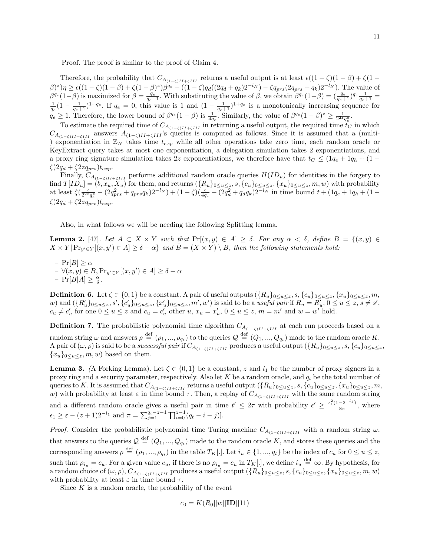Proof. The proof is similar to the proof of Claim 4.

Therefore, the probability that  $C_{A_{(1-\zeta)II+\zeta III}}$  returns a useful output is at least  $\epsilon((1-\zeta)(1-\beta)+\zeta(1-\zeta))$  $(\beta)^{z}$ ) $\eta \geq \epsilon((1-\zeta)(1-\beta)+\zeta(1-\beta)^{z})\beta^{q_e} - ((1-\zeta)q_d((2q_d+q_k)2^{-l_N})-\zeta q_{prs}(2q_{prs}+q_k)2^{-l_N}).$  The value of  $\beta^{q_e}(1-\beta)$  is maximized for  $\beta = \frac{q_e}{q_e+1}$ . With substituting the value of  $\beta$ , we obtain  $\beta^{q_e}(1-\beta) = (\frac{q_e}{q_e+1})^{q_e} \frac{1}{q_e+1}$  $\frac{1}{q_e}(1-\frac{1}{q_e+1})^{1+q_e}$ . If  $q_e=0$ , this value is 1 and  $(1-\frac{1}{q_e+1})^{1+q_e}$  is a monotonically increasing sequence for  $q_e \geq 1$ . Therefore, the lower bound of  $\beta^{q_e}(1-\beta)$  is  $\frac{1}{4q_e}$ . Similarly, the value of  $\beta^{q_e}(1-\beta)^z \geq \frac{1}{2^{2z}q_e^z}$ .

To estimate the required time of  $C_{A_{(1-\zeta)II}+\zeta III}$  in returning a useful output, the required time  $t_C$  in which  $C_{A_{(1-\zeta)I}+\zeta III}$  answers  $A_{(1-\zeta)II+\zeta III}$ 's queries is computed as follows. Since it is assumed that a (multi-) exponentiation in  $\mathbb{Z}_N$  takes time  $t_{exp}$  while all other operations take zero time, each random oracle or KeyExtract query takes at most one exponentiation, a delegation simulation takes 2 exponentiations, and a proxy ring signature simulation takes 2z exponentiations, we therefore have that  $t<sub>C</sub> \leq (1q<sub>e</sub> + 1q<sub>h</sub> + (1-q<sub>h</sub>))$  $\zeta$ )2q<sub>d</sub> +  $\zeta$ 2zq<sub>prs</sub>)t<sub>exp</sub>.

Finally,  $C_{A_{(1-\zeta)I}+\zeta III}$  performs additional random oracle queries  $H(ID_u)$  for identities in the forgery to find  $T[ID_u] = (b, x_u, X_u)$  for them, and returns  $(\{R_u\}_{0 \le u \le z}, s, \{c_u\}_{0 \le u \le z}, \{x_u\}_{0 \le u \le z}, m, w)$  with probability at least  $\zeta \left( \frac{\epsilon}{2^{2z}q_e^2} - \left( 2q_{prs}^2 + q_{prs}q_k \right) 2^{-l_N} \right) + (1-\zeta) \left( \frac{\epsilon}{4q_e} - \left( 2q_d^2 + q_dq_k \right) 2^{-l_N} \right)$  in time bound  $t + (1q_e + 1q_h + (1-\zeta))$  $\zeta$ )2q<sub>d</sub> +  $\zeta$ 2zq<sub>prs</sub>)t<sub>exp</sub>.

Also, in what follows we will be needing the following Splitting lemma.

**Lemma 2.** [47]. Let  $A \subset X \times Y$  such that  $Pr[(x, y) \in A] \ge \delta$ . For any  $\alpha < \delta$ , define  $B = \{(x, y) \in A\}$  $X \times Y | \Pr_{y' \in Y}[(x, y') \in A] \ge \delta - \alpha \}$  and  $\overline{B} = (X \times Y) \setminus B$ , then the following statements hold:

 $-{\rm Pr}[B] > \alpha$  $- \forall (x, y) \in B, \Pr_{y' \in Y} [(x, y') \in A] \ge \delta - \alpha$  $- \Pr[B|A] \geq \frac{\alpha}{\delta}.$ 

**Definition 6.** Let  $\zeta \in \{0,1\}$  be a constant. A pair of useful outputs  $(\{R_u\}_{0\leq u\leq z}, S, \{c_u\}_{0\leq u\leq z}, \{x_u\}_{0\leq u\leq z}, m,$ w) and  $({R'_u}_{0 \le u \le z}, s', {\lbrace c'_u}_{0 \le u \le z}, {\lbrace x'_u}_{0 \le u \le z}, m', w')$  is said to be a *useful pair* if  $R_u = R'_u, 0 \le u \le z, s \ne s'$ ,  $c_u \neq c'_u$  for one  $0 \leq u \leq z$  and  $c_u = c'_u$  other  $u, x_u = x'_u, 0 \leq u \leq z, m = m'$  and  $w = w'$  hold.

**Definition 7.** The probabilistic polynomial time algorithm  $C_{A_{(1-\zeta)I}+\zeta_{II}}$  at each run proceeds based on a random string  $\omega$  and answers  $\rho \stackrel{\text{def}}{=} (\rho_1, ..., \rho_{q_t})$  to the queries  $\mathcal{Q} \stackrel{\text{def}}{=} (Q_1, ..., Q_{q_t})$  made to the random oracle K. A pair of  $(\omega, \rho)$  is said to be a *successful pair* if  $C_{A_{(1-\zeta)I\uparrow\zeta III}}$  produces a useful output  $(\{R_u\}_{0\leq u\leq z}, s, \{c_u\}_{0\leq u\leq z},$  ${x_u}_{0\leq u\leq z}, m, w$  based on them.

**Lemma 3.** (A Forking Lemma). Let  $\zeta \in \{0,1\}$  be a constant, z and  $l_1$  be the number of proxy signers in a proxy ring and a security parameter, respectively. Also let  $K$  be a random oracle, and  $q_t$  be the total number of queries to K. It is assumed that  $C_{A_{(1-\zeta)II+\zeta III}}$  returns a useful output  $(\{R_u\}_{0\leq u\leq z}, s, \{c_u\}_{0\leq u\leq z}, \{x_u\}_{0\leq u\leq z}, m,$ w) with probability at least  $\varepsilon$  in time bound  $\tau$ . Then, a replay of  $C_{A_{(1-\zeta)II+\zeta III}}$  with the same random string and a different random oracle gives a useful pair in time  $t' \leq 2\tau$  with probability  $\epsilon' \geq \frac{\epsilon_1^2(1-2^{-l_1})}{8\pi}$  $\frac{-2}{8\pi}$ , where  $\epsilon_1 \geq \epsilon - (z+1)2^{-l_1}$  and  $\pi = \sum_{j=1}^{q_t-z-1} [\prod_{i=0}^{z-1} (q_t - i - j)].$ 

*Proof.* Consider the probabilistic polynomial time Turing machine  $C_{A_{(1-\zeta)I}+\zeta III}$  with a random string  $\omega$ , that answers to the queries  $\mathcal{Q} \stackrel{\text{def}}{=} (Q_1, ..., Q_{q_t})$  made to the random oracle K, and stores these queries and the corresponding answers  $\rho \stackrel{\text{def}}{=} (\rho_1, ..., \rho_{q_t})$  in the table  $T_K[.]$ . Let  $i_u \in \{1, ..., q_t\}$  be the index of  $c_u$  for  $0 \le u \le z$ , such that  $\rho_{i_u} = c_u$ . For a given value  $c_u$ , if there is no  $\rho_{i_u} = c_u$  in  $T_K[.]$ , we define  $i_u \stackrel{\text{def}}{=} \infty$ . By hypothesis, for a random choice of  $(\omega, \rho)$ ,  $C_{A_{(1-\zeta)II+\zeta III}}$  produces a useful output  $(\overline{\{R_u\}})_{0\leq u\leq z}$ ,  $\{c_u\}_{0\leq u\leq z}$ ,  $\overline{\{x_u\}}_{0\leq u\leq z}$ ,  $\overline{\{x_u\}}_{0\leq u\leq z}$ ,  $\overline{\{x_u\}}_{0\leq u\leq z}$ ,  $\overline{\{x_u\}}_{0\leq u\leq z}$ with probability at least  $\varepsilon$  in time bound  $\tau$ .

Since  $K$  is a random oracle, the probability of the event

$$
c_0 = K(R_0||w||\mathbf{ID}||11)
$$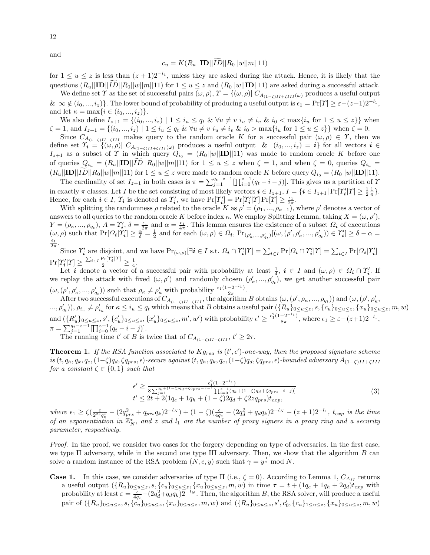### $c_u = K(R_u||ID||\widetilde{ID}||R_0||w||m||11)$

for  $1 \le u \le z$  is less than  $(z + 1)2^{-l_1}$ , unless they are asked during the attack. Hence, it is likely that the questions  $(R_u||\mathbf{ID}||\tilde{ID}||R_0||w||m||11)$  for  $1 \le u \le z$  and  $(R_0||w||\mathbf{ID}||11)$  are asked during a successful attack.

We define set  $\Upsilon$  as the set of successful pairs  $(\omega, \rho), \Upsilon = \{(\omega, \rho) | C_{A_{(1-\zeta)II+\zeta III}}(\omega) \text{ produces a useful output}\}$  $\& \infty \notin (i_0, ..., i_z)$ . The lower bound of probability of producing a useful output is  $\epsilon_1 = \Pr[\Upsilon] \geq \varepsilon - (z+1)2^{-l_1}$ , and let  $\kappa = \max\{i \in (i_0, ..., i_z)\}.$ 

We also define  $I_{z+1} = \{(i_0, ..., i_z) \mid 1 \leq i_u \leq q_t \& \forall u \neq v \; i_u \neq i_v \& i_0 < \max\{i_u \; \text{for} \; 1 \leq u \leq z\}\}\$  when  $\zeta = 1$ , and  $I_{z+1} = \{(i_0, ..., i_z) \mid 1 \leq i_u \leq q_t \& \forall u \neq v \ i_u \neq i_v \& i_0 > \max\{i_u \text{ for } 1 \leq u \leq z\}\}\$  when  $\zeta = 0$ .

Since  $C_{A_{(1-\zeta)II}+\zeta III}$  makes query to the random oracle K for a successful pair  $(\omega, \rho) \in \Upsilon$ , then we define set  $\Upsilon_i = \{(\omega, \rho) | C_{A_{(1-\zeta)II+\zeta III}(\omega)} \text{ produces a useful output } \& (i_0, ..., i_z) = i\}$  for all vectors  $i \in$  $I_{z+1}$  as a subset of  $\Upsilon$  in which query  $Q_{i_0} = (R_0||w||\mathbf{ID}||11)$  was made to random oracle K before one of queries  $Q_{i_u} = (R_u||\mathbf{ID}||ID||R_0||w||m||11)$  for  $1 \le u \le z$  when  $\zeta = 1$ , and when  $\zeta = 0$ , queries  $Q_{i_u}$  $(R_u||\mathbf{ID}||ID||R_0||w||m||11)$  for  $1 \le u \le z$  were made to random oracle K before query  $Q_{i_0} = (R_0||w||\mathbf{ID}||11)$ .

The cardinality of set  $I_{z+1}$  in both cases is  $\pi = \sum_{j=1}^{q_t-z-1} \prod_{i=0}^{z-1} (q_t-i-j)$ . This gives us a partition of  $\gamma$ in exactly  $\pi$  classes. Let I be the set consisting of most likely vectors  $\mathbf{i} \in I_{z+1}$ ,  $I = \{\mathbf{i} \in I_{z+1} | \Pr[\Upsilon'_{\mathbf{i}}|\Upsilon] \geq \frac{1}{2} \frac{1}{\pi}\}.$ Hence, for each  $i \in I$ ,  $\Upsilon_i$  is denoted as  $\Upsilon_i'$ , we have  $\Pr[\Upsilon_i'] = \Pr[\Upsilon_i' | \Upsilon] \Pr[\Upsilon] \geq \frac{\epsilon_1}{2\pi}$ .

With splitting the randomness  $\rho$  related to the oracle K as  $\rho' = (\rho_1, ..., \rho_{\kappa-1})$ , where  $\rho'$  denotes a vector of answers to all queries to the random oracle K before index κ. We employ Splitting Lemma, taking  $X = (\omega, \rho')$ ,  $Y = (\rho_{\kappa}, ..., \rho_{q_t}), A = \Upsilon'_{\pmb{i}}, \delta = \frac{\epsilon_1}{2\pi}$  and  $\alpha = \frac{\epsilon_1}{4\pi}$ . This lemma ensures the existence of a subset  $\Omega_{\pmb{i}}$  of executions  $(\omega, \rho)$  such that  $Pr[\Omega_i | Y_i'] \ge \frac{\alpha^2}{\delta} = \frac{1}{2}$  and for each  $(\omega, \rho) \in \Omega_i$ ,  $Pr_{(\rho'_k, \dots, \rho'_{q_t})}[(\omega, (\rho', \rho'_k, \dots, \rho'_{q_t})) \in Y_i'] \ge \delta - \alpha =$  $rac{\epsilon_1}{2\pi}$ .

Since  $\Upsilon'_i$  are disjoint, and we have  $\Pr_{(\omega,\rho)}[\exists i \in I \text{ s.t. } \Omega_i \cap \Upsilon'_i | \Upsilon] = \sum_{i \in I} \Pr[\Omega_i \cap \Upsilon'_i | \Upsilon] = \sum_{i \in I} \Pr[\Omega_i | \Upsilon'_i]$  $Pr[\Upsilon'_i|\Upsilon] \geq \frac{\sum_{i \in I} Pr[\Upsilon'_i|\Upsilon]}{2} \geq \frac{1}{4}.$ 

Let **i** denote a vector of a successful pair with probability at least  $\frac{1}{4}$ ,  $i \in I$  and  $(\omega, \rho) \in \Omega_i \cap \Upsilon'_i$ . If we replay the attack with fixed  $(\omega, \rho')$  and randomly chosen  $(\rho'_\kappa, ..., \rho'_{q_t})$ , we get another successful pair  $(\omega, (\rho', \rho'_\kappa, ..., \rho'_{q_t}))$  such that  $\rho_\kappa \neq \rho'_\kappa$  with probability  $\frac{\epsilon_1(1-2^{-l_1})}{2\pi}$  $\frac{-2}{2\pi}$ .

After two successful executions of  $C_{A_{(1-\zeta)II+\zeta III}}$ , the algorithm B obtains  $(\omega, (\rho', \rho_\kappa, ..., \rho_{q_t}))$  and  $(\omega, (\rho', \rho'_\kappa, ..., \rho_{q_t}))$  $(\mathcal{A}_{n}, \rho_{q_t}'), \rho_{i_u} \neq \rho_{i_u}'$  for  $\kappa \leq i_u \leq q_t$  which means that B obtains a useful pair  $(\{R_u\}_{0 \leq u \leq z}, S, \{c_u\}_{0 \leq u \leq z}, \{x_u\}_{0 \leq u \leq z}, m, w)$ and  $(\lbrace R_u' \rbrace_{0 \le u \le z}, s', \lbrace c_u' \rbrace_{0 \le u \le z}, \lbrace x_u' \rbrace_{0 \le u \le z}, m', w' \rbrace$  with probability  $\epsilon' \ge \frac{\epsilon_1^2 (1 - 2^{-l_1})}{8 \pi}$  $\frac{-2^{-i_1}}{8\pi}$ , where  $\epsilon_1 \geq \varepsilon - (z+1)2^{-l_1}$ ,  $\pi = \sum_{j=1}^{q_t-z-1} \left[ \prod_{i=0}^{z-1} (q_t - i - j) \right].$ 

The running time t' of B is twice that of  $C_{A_{(1-\zeta)II+\zeta III}}$ ,  $t' \geq 2\tau$ .

**Theorem 1.** If the RSA function associated to  $Kg_{rsa}$  is  $(t', \epsilon')$ -one-way, then the proposed signature scheme  $is (t, q_h, q_e, (1-\zeta)q_d, \zeta q_{prs}, \epsilon)$ -secure against  $(t, q_h, q_k, q_e, (1-\zeta)q_d, \zeta q_{prs}, \epsilon)$ -bounded adversary  $A_{(1-\zeta)II+\zeta III}$ for a constant  $\zeta \in \{0,1\}$  such that

$$
\epsilon' \ge \frac{\epsilon_1^2 (1 - 2^{-l_1})}{8 \sum_{j=1}^{q_k + (1 - \zeta) q_d + \zeta q_{prs} - z - 1} \left[ \prod_{i=0}^{z-1} (q_k + (1 - \zeta) q_d + \zeta q_{prs} - i - j) \right]}} \n t' \le 2t + 2(1q_e + 1q_h + (1 - \zeta) 2q_d + \zeta 2zq_{prs}) t_{exp},
$$
\n(3)

where  $\epsilon_1 \ge \zeta(\frac{\epsilon}{2^{2z}q_e^z} - (2q_{prs}^2 + q_{prs}q_k)2^{-l_N}) + (1-\zeta)(\frac{\epsilon}{4q_e} - (2q_d^2 + q_dq_k)2^{-l_N} - (z+1)2^{-l_1}, t_{exp}$  is the time of an exponentiation in  $\mathbb{Z}_N^*$ , and z and  $l_1$  are the number of proxy signers in a proxy ring and a security parameter, respectively.

Proof. In the proof, we consider two cases for the forgery depending on type of adversaries. In the first case, we type II adversary, while in the second one type III adversary. Then, we show that the algorithm B can solve a random instance of the RSA problem  $(N, e, y)$  such that  $\gamma = y^{\frac{1}{e}}$  mod N.

**Case 1.** In this case, we consider adversaries of type II (i.e.,  $\zeta = 0$ ). According to Lemma 1,  $C_{A_{II}}$  returns a useful output  $({R_u}_{0 \le u \le z}, {s}, {c_u}_{0 \le u \le z}, {x_u}_{0 \le u \le z}, m, w)$  in time  $\tau = t + (1q_e + 1q_h + 2q_d)t_{exp}$  with probability at least  $\varepsilon = \frac{\epsilon}{4q_e} - (2q_d^2 + q_d q_k)2^{-l_N}$ . Then, the algorithm B, the RSA solver, will produce a useful pair of  $(\{R_u\}_{0\leq u\leq z}, s, \{c_u\}_{0\leq u\leq z}, \{x_u\}_{0\leq u\leq z}, m, w)$  and  $(\{R_u\}_{0\leq u\leq z}, s', c'_0, \{c_u\}_{1\leq u\leq z}, \{x_u\}_{0\leq u\leq z}, m, w)$ 

and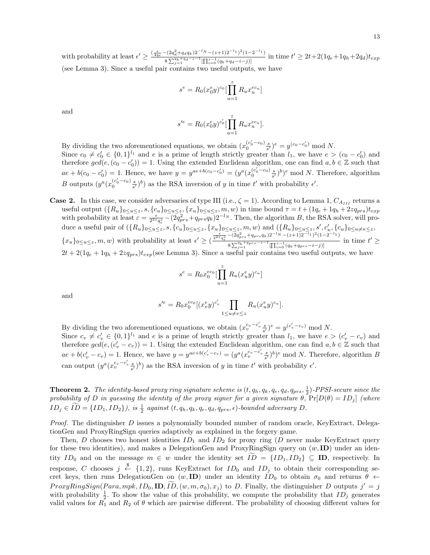with probability at least  $\epsilon' \geq \frac{(\frac{\epsilon}{4qe} - (2q_d^2 + q_dq_k)^{2^{-l}N} - (z+1)2^{-l_1})^2(1-2^{-l_1})}{2\epsilon^2(1-q^2)}$  $\frac{e^{-(2q_d+q_dq_k)2^{-N}-(z+1)2^{-1}}}{8\sum_{j=1}^{q_k+q_d-z-1}[\prod_{i=0}^{z-1}(q_k+q_d-i-j)]}$  in time  $t' \geq 2t+2(1q_e+1q_h+2q_d)t_{exp}$ (see Lemma 3). Since a useful pair contains two useful outputs, we have

$$
s^{e} = R_{0}(x_{0}^{e}y)^{c_{0}} \left[ \prod_{u=1}^{z} R_{u}x_{u}^{e_{u}c_{u}} \right]
$$

]

and

$$
s^{\prime e} = R_0(x_0^e y)^{c_0'} \left[ \prod_{u=1}^z R_u x_u^{e c_u} \right].
$$

By dividing the two aforementioned equations, we obtain  $(x_0^{(c'_0 - c_0)} \frac{s}{s'})^e = y^{(c_0 - c'_0)} \mod N$ . Since  $c_0 \neq c'_0 \in \{0,1\}^{l_1}$  and e is a prime of length strictly greater than  $l_1$ , we have  $e > (c_0 - c'_0)$  and therefore  $gcd(e, (c_0 - c'_0)) = 1$ . Using the extended Euclidean algorithm, one can find  $a, b \in \mathbb{Z}$  such that  $ae + b(c_0 - c'_0) = 1$ . Hence, we have  $y = y^{ae + b(c_0 - c'_0)} = (y^a (x_0^{(c'_0 - c_0)} \frac{s}{s'})^b)^e \mod N$ . Therefore, algorithm B outputs  $(y^a(x_0^{(c'_0-c_0)}\frac{s}{s'})^b)$  as the RSA inversion of y in time t' with probability  $\epsilon'$ .

**Case 2.** In this case, we consider adversaries of type III (i.e.,  $\zeta = 1$ ). According to Lemma 1,  $C_{A_{III}}$  returns a useful output  $(\{R_u\}_{0\leq u\leq z}, s, \{c_u\}_{0\leq u\leq z}, \{x_u\}_{0\leq u\leq z}, m, w)$  in time bound  $\tau = t + (1q_e + 1q_h + 2zq_{prs})t_{exp}$ with probability at least  $\varepsilon = \frac{\epsilon}{2^2 \sigma_q^2} - (2q_{prs}^2 + q_{prs}q_k)2^{-l_N}$ . Then, the algorithm B, the RSA solver, will produce a useful pair of  $({R_u}_{0 \le u \le z}, {s, \{c_u\}_{0 \le u \le z}, {x_u}\}_{0 \le u \le z}, m, w)$  and  $({R_u}_{0 \le u \le z}, {s', c'_\kappa}, {c_u}_{0 \le u \neq \kappa \le z},$  ${x_u}_{0 \le u \le z}, m, w$  with probability at least  $\epsilon' \ge (\frac{\frac{\epsilon}{2^{2z}q_c^z} - (2q_{prs}^2 + q_{prs}q_k)2^{-l}N - (z+1)2^{-l_1}}{\epsilon \sum_{i=1}^{p} (q_{prs}^2 + q_{prs} - z - 1)N!}$  $\frac{1}{8 \sum_{j=1}^{q_{k}+q_{pr}s-z-1}[\prod_{i=0}^{z-1}(q_{k}+q_{pr}s-i-j)]}$  in time  $t' \ge$  $2t + 2(1q_e + 1q_h + 2zq_{prs})t_{exp}$  (see Lemma 3). Since a useful pair contains two useful outputs, we have

$$
s^{e} = R_{0} x_{0}^{e c_{0}} \left[ \prod_{u=1}^{z} R_{u} (x_{u}^{e} y)^{c_{u}} \right]
$$

and

$$
s^{\prime e} = R_0 x_0^{e c_0} [(x_v^e y)^{c_v'} \prod_{1 \le u \ne v \le z} R_u (x_u^e y)^{c_u}].
$$

By dividing the two aforementioned equations, we obtain  $(x_v^{c_v-c_v'}\frac{s}{s'})^e = y^{(c_v'-c_v)} \mod N$ . Since  $c_v \neq c'_v \in \{0,1\}^{l_1}$  and e is a prime of length strictly greater than  $l_1$ , we have  $e > (c'_v - c_v)$  and therefore  $gcd(e, (c'_v - c_v)) = 1$ . Using the extended Euclidean algorithm, one can find  $a, b \in \mathbb{Z}$  such that  $ae + b(c'_v - c_v) = 1$ . Hence, we have  $y = y^{ae + b(c'_v - c_v)} = (y^a (x_v^{c_v - c'_v} \frac{s}{s'})^b)^e \mod N$ . Therefore, algorithm B can output  $(y^a(x_v^{c_v-c_v'}\frac{s}{s'})^b)$  as the RSA inversion of y in time t' with probability  $\epsilon'$ .

**Theorem 2.** The identity-based proxy ring signature scheme is  $(t, q_h, q_k, q_e, q_d, q_{prs}, \frac{1}{2})$ -PPSI-secure since the probability of D in guessing the identity of the proxy signer for a given signature  $\theta$ ,  $Pr[D(\theta) = ID_j]$  (where  $ID_j \in ID = \{ID_1, ID_2\}$ , is  $\frac{1}{2}$  against  $(t, q_h, q_k, q_e, q_d, q_{prs}, \epsilon)$ -bounded adversary  $D$ .

*Proof.* The distinguisher  $D$  issues a polynomially bounded number of random oracle, KeyExtract, DelegationGen and ProxyRingSign queries adaptively as explained in the forgery game.

Then, D chooses two honest identities  $ID_1$  and  $ID_2$  for proxy ring (D never make KeyExtract query for these two identities), and makes a DelegationGen and ProxyRingSign query on  $(w, ID)$  under an identity  $ID_0$  and on the message  $m \in w$  under the identity set  $\widetilde{ID} = \{ID_1, ID_2\} \subseteq ID$ , respectively. In response, C chooses  $j \stackrel{\$}{\leftarrow} \{1,2\}$ , runs KeyExtract for  $ID_0$  and  $ID_j$  to obtain their corresponding secret keys, then runs DelegationGen on  $(w, \text{ID})$  under an identity  $ID_0$  to obtain  $\sigma_0$  and returns  $\theta$   $\leftarrow$  $ProxyRingSign(Para, mpk, ID_0, ID, ID, (w, m, \sigma_0), x_j)$  to D. Finally, the distinguisher D outputs  $j' = j$ with probability  $\frac{1}{2}$ . To show the value of this probability, we compute the probability that  $ID_j$  generates valid values for  $R_1$  and  $R_2$  of  $\theta$  which are pairwise different. The probability of choosing different values for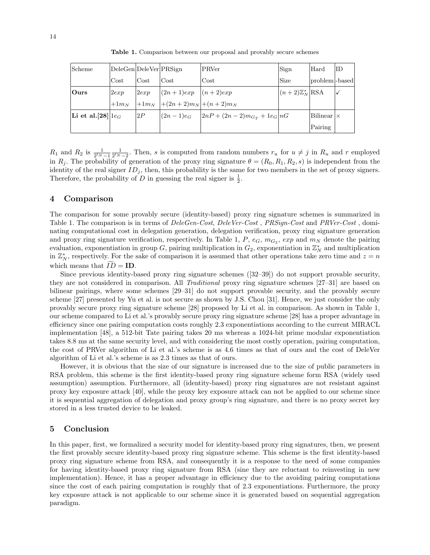Table 1. Comparison between our proposal and provably secure schemes

| Scheme                                 | DeleGen DeleVer PRSign |      |                                 | PRVer                                         | Sign                        | Hard                | ΙD |
|----------------------------------------|------------------------|------|---------------------------------|-----------------------------------------------|-----------------------------|---------------------|----|
|                                        | Cost                   | Cost | $\cos t$                        | Cost                                          | Size                        | problem  - based    |    |
| $\overline{\text{Ours}}$               | 2exp                   | 2exp | $ (2n+1)exp (n+2)exp$           |                                               | $ (n+2)\mathbb{Z}_N^* $ RSA |                     |    |
|                                        | $+1m_N$                |      | $ +1m_N + (2n+2)m_N +(n+2)m_N $ |                                               |                             |                     |    |
| Li et al. [28] $\lfloor 1 e_G \rfloor$ |                        | 2P   |                                 | $ (2n-1)e_G$ $ 2nP + (2n-2)m_{G_T} + 1e_G nG$ |                             | $ Bilinear  \times$ |    |
|                                        |                        |      |                                 |                                               |                             | Pairing             |    |

 $R_1$  and  $R_2$  is  $\frac{1}{2^l N-1} \frac{1}{2^l N-2}$ . Then, s is computed from random numbers  $r_u$  for  $u \neq j$  in  $R_u$  and r employed in  $R_j$ . The probability of generation of the proxy ring signature  $\theta = (R_0, R_1, R_2, s)$  is independent from the identity of the real signer  $ID_i$ , then, this probability is the same for two members in the set of proxy signers. Therefore, the probability of D in guessing the real signer is  $\frac{1}{2}$ .

### 4 Comparison

The comparison for some provably secure (identity-based) proxy ring signature schemes is summarized in Table 1. The comparison is in terms of  $DeleGen-Cost$ ,  $DeleVer-Cost$ ,  $PRSign-Cost$  and  $PRVer-Cost$ , dominating computational cost in delegation generation, delegation verification, proxy ring signature generation and proxy ring signature verification, respectively. In Table 1,  $P$ ,  $e_G$ ,  $m_{G_2}$ ,  $exp$  and  $m_N$  denote the pairing evaluation, exponentiation in group G, pairing multiplication in  $G_2$ , exponentiation in  $\mathbb{Z}_N^*$  and multiplication in  $\mathbb{Z}_N^*$ , respectively. For the sake of comparison it is assumed that other operations take zero time and  $z = n$ which means that  $ID = ID$ .

Since previous identity-based proxy ring signature schemes ([32–39]) do not support provable security, they are not considered in comparison. All Traditional proxy ring signature schemes [27–31] are based on bilinear pairings, where some schemes [29–31] do not support provable security, and the provably secure scheme [27] presented by Yu et al. is not secure as shown by J.S. Chou [31]. Hence, we just consider the only provably secure proxy ring signature scheme [28] proposed by Li et al. in comparison. As shown in Table 1, our scheme compared to Li et al.'s provably secure proxy ring signature scheme [28] has a proper advantage in efficiency since one pairing computation costs roughly 2.3 exponentiations according to the current MIRACL implementation [48], a 512-bit Tate pairing takes 20 ms whereas a 1024-bit prime modular exponentiation takes 8.8 ms at the same security level, and with considering the most costly operation, pairing computation, the cost of PRVer algorithm of Li et al.'s scheme is as 4.6 times as that of ours and the cost of DeleVer algorithm of Li et al.'s scheme is as 2.3 times as that of ours.

However, it is obvious that the size of our signature is increased due to the size of public parameters in RSA problem, this scheme is the first identity-based proxy ring signature scheme form RSA (widely used assumption) assumption. Furthermore, all (identity-based) proxy ring signatures are not resistant against proxy key exposure attack [40], while the proxy key exposure attack can not be applied to our scheme since it is sequential aggregation of delegation and proxy group's ring signature, and there is no proxy secret key stored in a less trusted device to be leaked.

### 5 Conclusion

In this paper, first, we formalized a security model for identity-based proxy ring signatures, then, we present the first provably secure identity-based proxy ring signature scheme. This scheme is the first identity-based proxy ring signature scheme from RSA, and consequently it is a response to the need of some companies for having identity-based proxy ring signature from RSA (sine they are reluctant to reinvesting in new implementation). Hence, it has a proper advantage in efficiency due to the avoiding pairing computations since the cost of each pairing computation is roughly that of 2.3 exponentiations. Furthermore, the proxy key exposure attack is not applicable to our scheme since it is generated based on sequential aggregation paradigm.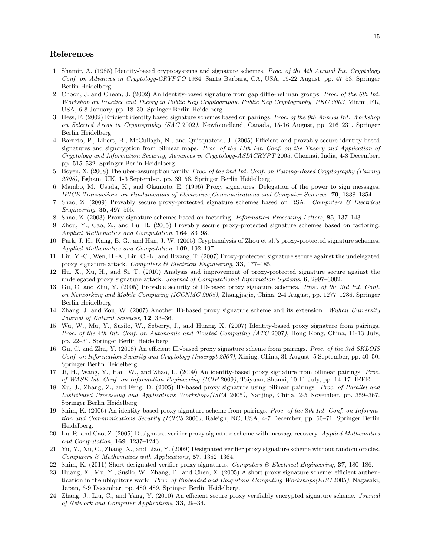## References

- 1. Shamir, A. (1985) Identity-based cryptosystems and signature schemes. Proc. of the 4th Annual Int. Cryptology Conf. on Advances in Cryptology-CRYPTO 1984, Santa Barbara, CA, USA, 19-22 August, pp. 47–53. Springer Berlin Heidelberg.
- 2. Choon, J. and Cheon, J. (2002) An identity-based signature from gap diffie-hellman groups. Proc. of the 6th Int. Workshop on Practice and Theory in Public Key Cryptography, Public Key Cryptography PKC 2003, Miami, FL, USA, 6-8 January, pp. 18–30. Springer Berlin Heidelberg.
- 3. Hess, F. (2002) Efficient identity based signature schemes based on pairings. Proc. of the 9th Annual Int. Workshop on Selected Areas in Cryptography (SAC 2002), Newfoundland, Canada, 15-16 August, pp. 216–231. Springer Berlin Heidelberg.
- 4. Barreto, P., Libert, B., McCullagh, N., and Quisquaterd, J. (2005) Efficient and provably-secure identity-based signatures and signcryption from bilinear maps. Proc. of the 11th Int. Conf. on the Theory and Application of Cryptology and Information Security, Aavances in Cryptology-ASIACRYPT 2005, Chennai, India, 4-8 December, pp. 515–532. Springer Berlin Heidelberg.
- 5. Boyen, X. (2008) The uber-assumption family. Proc. of the 2nd Int. Conf. on Pairing-Based Cryptography (Pairing 2008), Egham, UK, 1-3 September, pp. 39–56. Springer Berlin Heidelberg.
- 6. Mambo, M., Usuda, K., and Okamoto, E. (1996) Proxy signatures: Delegation of the power to sign messages. IEICE Transactions on Fundamentals of Electronics,Communications and Computer Sciences, 79, 1338–1354.
- 7. Shao, Z. (2009) Provably secure proxy-protected signature schemes based on RSA. Computers & Electrical Engineering, 35, 497–505.
- 8. Shao, Z. (2003) Proxy signature schemes based on factoring. Information Processing Letters, 85, 137–143.
- 9. Zhou, Y., Cao, Z., and Lu, R. (2005) Provably secure proxy-protected signature schemes based on factoring. Applied Mathematics and Computation, 164, 83–98.
- 10. Park, J. H., Kang, B. G., and Han, J. W. (2005) Cryptanalysis of Zhou et al.'s proxy-protected signature schemes. Applied Mathematics and Computation, 169, 192–197.
- 11. Liu, Y.-C., Wen, H.-A., Lin, C.-L., and Hwang, T. (2007) Proxy-protected signature secure against the undelegated proxy signature attack. Computers  $\mathcal B$  Electrical Engineering, 33, 177–185.
- 12. Hu, X., Xu, H., and Si, T. (2010) Analysis and improvement of proxy-protected signature secure against the undelegated proxy signature attack. Journal of Computational Information Systems, 6, 2997–3002.
- 13. Gu, C. and Zhu, Y. (2005) Provable security of ID-based proxy signature schemes. Proc. of the 3rd Int. Conf. on Networking and Mobile Computing (ICCNMC 2005), Zhangjiajie, China, 2-4 August, pp. 1277–1286. Springer Berlin Heidelberg.
- 14. Zhang, J. and Zou, W. (2007) Another ID-based proxy signature scheme and its extension. Wuhan University Journal of Natural Sciences, 12, 33–36.
- 15. Wu, W., Mu, Y., Susilo, W., Seberry, J., and Huang, X. (2007) Identity-based proxy signature from pairings. Proc. of the 4th Int. Conf. on Autonomic and Trusted Computing (ATC 2007), Hong Kong, China, 11-13 July, pp. 22–31. Springer Berlin Heidelberg.
- 16. Gu, C. and Zhu, Y. (2008) An efficient ID-based proxy signature scheme from pairings. Proc. of the 3rd SKLOIS Conf. on Information Security and Cryptology (Inscrypt 2007), Xining, China, 31 August- 5 September, pp. 40–50. Springer Berlin Heidelberg.
- 17. Ji, H., Wang, Y., Han, W., and Zhao, L. (2009) An identity-based proxy signature from bilinear pairings. Proc. of WASE Int. Conf. on Information Engineering (ICIE 2009), Taiyuan, Shanxi, 10-11 July, pp. 14–17. IEEE.
- 18. Xu, J., Zhang, Z., and Feng, D. (2005) ID-based proxy signature using bilinear pairings. Proc. of Parallel and Distributed Processing and Applications Workshops(ISPA 2005), Nanjing, China, 2-5 November, pp. 359–367. Springer Berlin Heidelberg.
- 19. Shim, K. (2006) An identity-based proxy signature scheme from pairings. Proc. of the 8th Int. Conf. on Information and Communications Security (ICICS 2006), Raleigh, NC, USA, 4-7 December, pp. 60–71. Springer Berlin Heidelberg.
- 20. Lu, R. and Cao, Z. (2005) Designated verifier proxy signature scheme with message recovery. Applied Mathematics and Computation, 169, 1237–1246.
- 21. Yu, Y., Xu, C., Zhang, X., and Liao, Y. (2009) Designated verifier proxy signature scheme without random oracles. Computers  $\mathcal{B}$  Mathematics with Applications, 57, 1352–1364.
- 22. Shim, K. (2011) Short designated verifier proxy signatures. Computers  $\mathscr$  Electrical Engineering, 37, 180–186.
- 23. Huang, X., Mu, Y., Susilo, W., Zhang, F., and Chen, X. (2005) A short proxy signature scheme: efficient authentication in the ubiquitous world. Proc. of Embedded and Ubiquitous Computing Workshops(EUC 2005), Nagasaki, Japan, 6-9 December, pp. 480–489. Springer Berlin Heidelberg.
- 24. Zhang, J., Liu, C., and Yang, Y. (2010) An efficient secure proxy verifiably encrypted signature scheme. Journal of Network and Computer Applications, 33, 29–34.